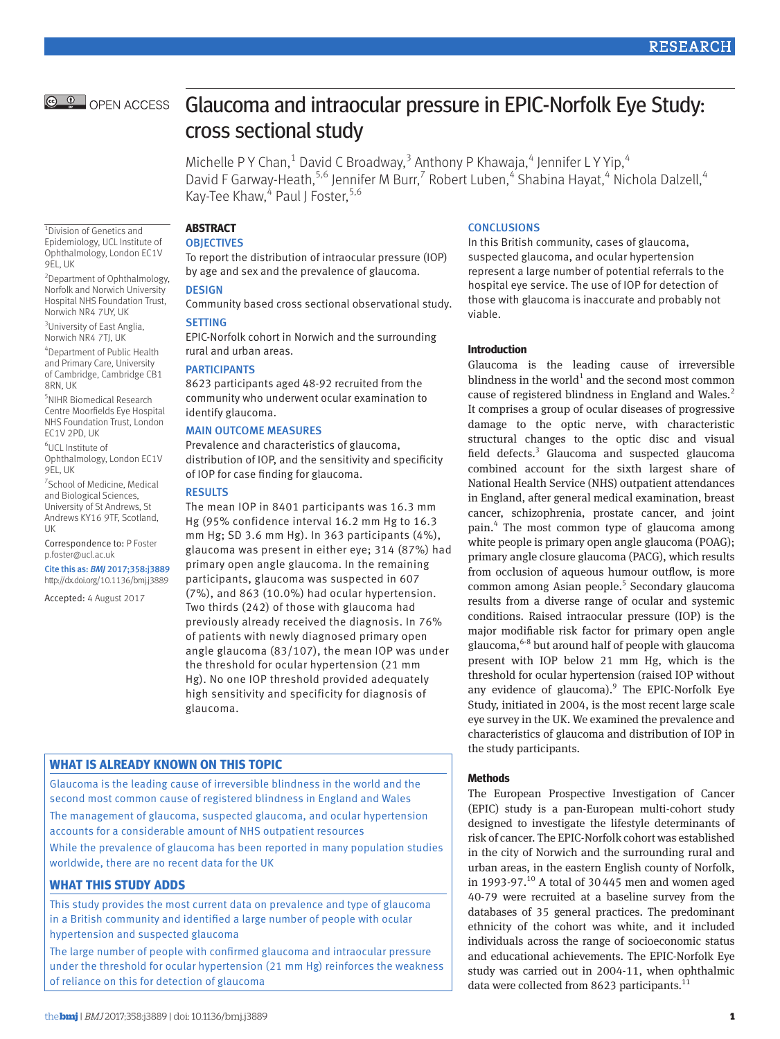© <sup>0</sup> OPEN ACCESS

Ophthalmology, London EC1V

<sup>2</sup>Department of Ophthalmology, Norfolk and Norwich University Hospital NHS Foundation Trust, Norwich NR4 7UY, UK <sup>3</sup>University of East Anglia, Norwich NR4 7TJ, UK 4 Department of Public Health and Primary Care, University of Cambridge, Cambridge CB1

5 NIHR Biomedical Research Centre Moorfields Eye Hospital NHS Foundation Trust, London

Ophthalmology, London EC1V

7 School of Medicine, Medical and Biological Sciences, University of St Andrews, St Andrews KY16 9TF, Scotland,

Correspondence to: P Foster p.foster@ucl.ac.uk

Cite this as: *BMJ* 2017;358:j3889 http://dx.doi.org/10.1136/bmj.j3889 Accepted: 4 August 2017

 $9F$  $1K$ 

8RN, UK

9EL, UK

UK

EC1V 2PD, UK 6 UCL Institute of

# Glaucoma and intraocular pressure in EPIC-Norfolk Eye Study: cross sectional study

Michelle P Y Chan,<sup>1</sup> David C Broadway,<sup>3</sup> Anthony P Khawaja,<sup>4</sup> Jennifer L Y Yip,<sup>4</sup> David F Garway-Heath,<sup>5,6</sup> Jennifer M Burr,<sup>7</sup> Robert Luben,<sup>4</sup> Shabina Hayat,<sup>4</sup> Nichola Dalzell,<sup>4</sup> Kay-Tee Khaw,<sup>4</sup> Paul J Foster,<sup>5,6</sup>

**ABSTRACT** 1 Division of Genetics and Epidemiology, UCL Institute of

**OBIECTIVES** 

To report the distribution of intraocular pressure (IOP) by age and sex and the prevalence of glaucoma.

#### **DESIGN**

Community based cross sectional observational study. **SETTING** 

EPIC-Norfolk cohort in Norwich and the surrounding rural and urban areas.

#### PARTICIPANTS

8623 participants aged 48-92 recruited from the community who underwent ocular examination to identify glaucoma.

## MAIN OUTCOME MEASURES

Prevalence and characteristics of glaucoma, distribution of IOP, and the sensitivity and specificity of IOP for case finding for glaucoma.

## RESULTS

The mean IOP in 8401 participants was 16.3 mm Hg (95% confidence interval 16.2 mm Hg to 16.3 mm Hg; SD 3.6 mm Hg). In 363 participants (4%), glaucoma was present in either eye; 314 (87%) had primary open angle glaucoma. In the remaining participants, glaucoma was suspected in 607 (7%), and 863 (10.0%) had ocular hypertension. Two thirds (242) of those with glaucoma had previously already received the diagnosis. In 76% of patients with newly diagnosed primary open angle glaucoma (83/107), the mean IOP was under the threshold for ocular hypertension (21 mm Hg). No one IOP threshold provided adequately high sensitivity and specificity for diagnosis of glaucoma.

## **What is already known on this topic**

Glaucoma is the leading cause of irreversible blindness in the world and the second most common cause of registered blindness in England and Wales

The management of glaucoma, suspected glaucoma, and ocular hypertension accounts for a considerable amount of NHS outpatient resources

While the prevalence of glaucoma has been reported in many population studies worldwide, there are no recent data for the UK

### **What this study adds**

This study provides the most current data on prevalence and type of glaucoma in a British community and identified a large number of people with ocular hypertension and suspected glaucoma

The large number of people with confirmed glaucoma and intraocular pressure under the threshold for ocular hypertension (21 mm Hg) reinforces the weakness of reliance on this for detection of glaucoma

#### **CONCLUSIONS**

In this British community, cases of glaucoma, suspected glaucoma, and ocular hypertension represent a large number of potential referrals to the hospital eye service. The use of IOP for detection of those with glaucoma is inaccurate and probably not viable.

#### **Introduction**

Glaucoma is the leading cause of irreversible blindness in the world<sup>1</sup> and the second most common cause of registered blindness in England and Wales.<sup>2</sup> It comprises a group of ocular diseases of progressive damage to the optic nerve, with characteristic structural changes to the optic disc and visual field defects.<sup>3</sup> Glaucoma and suspected glaucoma combined account for the sixth largest share of National Health Service (NHS) outpatient attendances in England, after general medical examination, breast cancer, schizophrenia, prostate cancer, and joint pain.<sup>4</sup> The most common type of glaucoma among white people is primary open angle glaucoma (POAG); primary angle closure glaucoma (PACG), which results from occlusion of aqueous humour outflow, is more common among Asian people.<sup>5</sup> Secondary glaucoma results from a diverse range of ocular and systemic conditions. Raised intraocular pressure (IOP) is the major modifiable risk factor for primary open angle glaucoma,  $6-8$  but around half of people with glaucoma present with IOP below 21 mm Hg, which is the threshold for ocular hypertension (raised IOP without any evidence of glaucoma). $9$  The EPIC-Norfolk Eye Study, initiated in 2004, is the most recent large scale eye survey in the UK. We examined the prevalence and characteristics of glaucoma and distribution of IOP in the study participants.

### **Methods**

The European Prospective Investigation of Cancer (EPIC) study is a pan-European multi-cohort study designed to investigate the lifestyle determinants of risk of cancer. The EPIC-Norfolk cohort was established in the city of Norwich and the surrounding rural and urban areas, in the eastern English county of Norfolk, in 1993-97. $^{10}$  A total of 30445 men and women aged 40-79 were recruited at a baseline survey from the databases of 35 general practices. The predominant ethnicity of the cohort was white, and it included individuals across the range of socioeconomic status and educational achievements. The EPIC-Norfolk Eye study was carried out in 2004-11, when ophthalmic data were collected from 8623 participants.<sup>1</sup>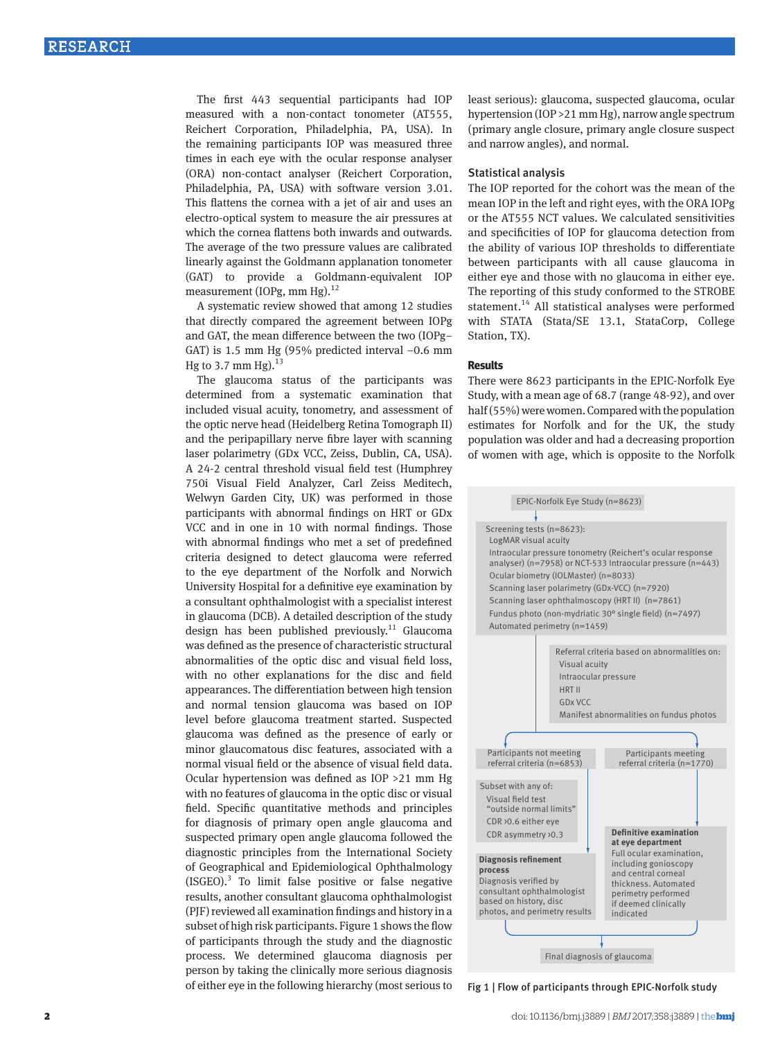The first 443 sequential participants had IOP measured with a non-contact tonometer (AT555, Reichert Corporation, Philadelphia, PA, USA). In the remaining participants IOP was measured three times in each eye with the ocular response analyser (ORA) non-contact analyser (Reichert Corporation, Philadelphia, PA, USA) with software version 3.01. This flattens the cornea with a jet of air and uses an electro-optical system to measure the air pressures at which the cornea flattens both inwards and outwards. The average of the two pressure values are calibrated linearly against the Goldmann applanation tonometer (GAT) to provide a Goldmann-equivalent IOP measurement (IOPg, mm Hg). $^{12}$ 

A systematic review showed that among 12 studies that directly compared the agreement between IOPg and GAT, the mean difference between the two (IOPg− GAT) is 1.5 mm Hg (95% predicted interval −0.6 mm Hg to 3.7 mm Hg). $^{13}$ 

The glaucoma status of the participants was determined from a systematic examination that included visual acuity, tonometry, and assessment of the optic nerve head (Heidelberg Retina Tomograph II) and the peripapillary nerve fibre layer with scanning laser polarimetry (GDx VCC, Zeiss, Dublin, CA, USA). A 24-2 central threshold visual field test (Humphrey 750i Visual Field Analyzer, Carl Zeiss Meditech, Welwyn Garden City, UK) was performed in those participants with abnormal findings on HRT or GDx VCC and in one in 10 with normal findings. Those with abnormal findings who met a set of predefined criteria designed to detect glaucoma were referred to the eye department of the Norfolk and Norwich University Hospital for a definitive eye examination by a consultant ophthalmologist with a specialist interest in glaucoma (DCB). A detailed description of the study design has been published previously.<sup>11</sup> Glaucoma was defined as the presence of characteristic structural abnormalities of the optic disc and visual field loss, with no other explanations for the disc and field appearances. The differentiation between high tension and normal tension glaucoma was based on IOP level before glaucoma treatment started. Suspected glaucoma was defined as the presence of early or minor glaucomatous disc features, associated with a normal visual field or the absence of visual field data. Ocular hypertension was defined as IOP >21 mm Hg with no features of glaucoma in the optic disc or visual field. Specific quantitative methods and principles for diagnosis of primary open angle glaucoma and suspected primary open angle glaucoma followed the diagnostic principles from the International Society of Geographical and Epidemiological Ophthalmology (ISGEO).3 To limit false positive or false negative results, another consultant glaucoma ophthalmologist (PJF) reviewed all examination findings and history in a subset of high risk participants. Figure 1 shows the flow of participants through the study and the diagnostic process. We determined glaucoma diagnosis per person by taking the clinically more serious diagnosis of either eye in the following hierarchy (most serious to

least serious): glaucoma, suspected glaucoma, ocular hypertension (IOP >21 mm Hg), narrow angle spectrum (primary angle closure, primary angle closure suspect and narrow angles), and normal.

#### Statistical analysis

The IOP reported for the cohort was the mean of the mean IOP in the left and right eyes, with the ORA IOPg or the AT555 NCT values. We calculated sensitivities and specificities of IOP for glaucoma detection from the ability of various IOP thresholds to differentiate between participants with all cause glaucoma in either eye and those with no glaucoma in either eye. The reporting of this study conformed to the STROBE statement.<sup>14</sup> All statistical analyses were performed with STATA (Stata/SE 13.1, StataCorp, College Station, TX).

#### **Results**

There were 8623 participants in the EPIC-Norfolk Eye Study, with a mean age of 68.7 (range 48-92), and over half (55%) were women. Compared with the population estimates for Norfolk and for the UK, the study population was older and had a decreasing proportion of women with age, which is opposite to the Norfolk



Fig 1 | Flow of participants through EPIC-Norfolk study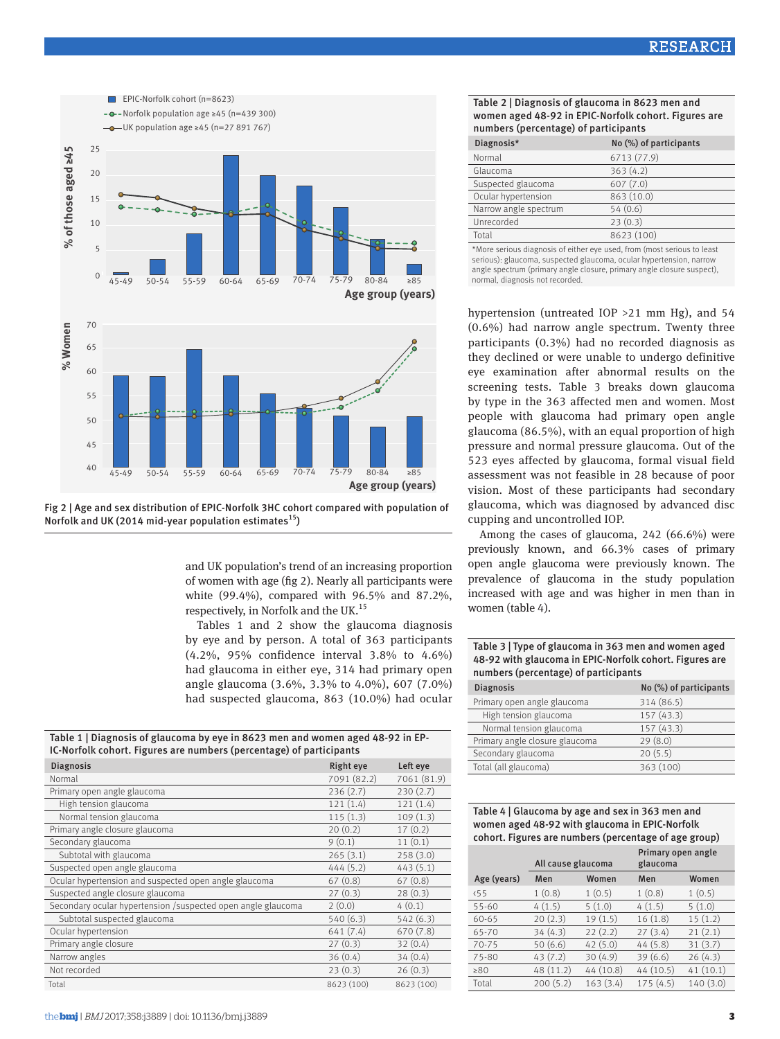

Fig 2 | Age and sex distribution of EPIC-Norfolk 3HC cohort compared with population of Norfolk and UK (2014 mid-year population estimates $^{15}$ )

and UK population's trend of an increasing proportion of women with age (fig 2). Nearly all participants were white (99.4%), compared with 96.5% and 87.2%, respectively, in Norfolk and the UK.15

Tables 1 and 2 show the glaucoma diagnosis by eye and by person. A total of 363 participants (4.2%, 95% confidence interval 3.8% to 4.6%) had glaucoma in either eye, 314 had primary open angle glaucoma (3.6%, 3.3% to 4.0%), 607 (7.0%) had suspected glaucoma, 863 (10.0%) had ocular

| Table 1   Diagnosis of glaucoma by eye in 8623 men and women aged 48-92 in EP-<br>IC-Norfolk cohort. Figures are numbers (percentage) of participants |                       |             |  |  |  |  |  |  |  |  |  |
|-------------------------------------------------------------------------------------------------------------------------------------------------------|-----------------------|-------------|--|--|--|--|--|--|--|--|--|
| <b>Diagnosis</b>                                                                                                                                      | Left eye<br>Right eye |             |  |  |  |  |  |  |  |  |  |
| Normal                                                                                                                                                | 7091 (82.2)           | 7061 (81.9) |  |  |  |  |  |  |  |  |  |
| Primary open angle glaucoma                                                                                                                           | 236(2.7)              | 230(2.7)    |  |  |  |  |  |  |  |  |  |
| High tension glaucoma                                                                                                                                 | 121(1.4)              | 121(1.4)    |  |  |  |  |  |  |  |  |  |
| Normal tension glaucoma                                                                                                                               | 115(1.3)              | 109(1.3)    |  |  |  |  |  |  |  |  |  |
| Primary angle closure glaucoma                                                                                                                        | 20(0.2)               | 17(0.2)     |  |  |  |  |  |  |  |  |  |
| Secondary glaucoma                                                                                                                                    | 9(0.1)                | 11(0.1)     |  |  |  |  |  |  |  |  |  |
| Subtotal with glaucoma                                                                                                                                | 265(3.1)              | 258(3.0)    |  |  |  |  |  |  |  |  |  |
| Suspected open angle glaucoma                                                                                                                         | 444(5.2)              | 443(5.1)    |  |  |  |  |  |  |  |  |  |
| Ocular hypertension and suspected open angle glaucoma                                                                                                 | 67(0.8)               | 67(0.8)     |  |  |  |  |  |  |  |  |  |
| Suspected angle closure glaucoma                                                                                                                      | 27(0.3)               | 28(0.3)     |  |  |  |  |  |  |  |  |  |
| Secondary ocular hypertension /suspected open angle glaucoma                                                                                          | 2(0.0)                | 4(0.1)      |  |  |  |  |  |  |  |  |  |
| Subtotal suspected glaucoma                                                                                                                           | 540(6.3)              | 542(6.3)    |  |  |  |  |  |  |  |  |  |
| Ocular hypertension                                                                                                                                   | 641 (7.4)             | 670 (7.8)   |  |  |  |  |  |  |  |  |  |
| Primary angle closure                                                                                                                                 | 27(0.3)               | 32(0.4)     |  |  |  |  |  |  |  |  |  |
| Narrow angles                                                                                                                                         | 36(0.4)               | 34(0.4)     |  |  |  |  |  |  |  |  |  |
| Not recorded                                                                                                                                          | 23(0.3)               | 26(0.3)     |  |  |  |  |  |  |  |  |  |
| Total                                                                                                                                                 | 8623 (100)            | 8623 (100)  |  |  |  |  |  |  |  |  |  |

| Table 2   Diagnosis of glaucoma in 8623 men and      |
|------------------------------------------------------|
| women aged 48-92 in EPIC-Norfolk cohort. Figures are |
| numbers (percentage) of participants                 |
|                                                      |

| Diagnosis*            | No (%) of participants |
|-----------------------|------------------------|
| Normal                | 6713 (77.9)            |
| Glaucoma              | 363(4.2)               |
| Suspected glaucoma    | 607(7.0)               |
| Ocular hypertension   | 863 (10.0)             |
| Narrow angle spectrum | 54(0.6)                |
| Unrecorded            | 23(0.3)                |
| Total                 | 8623 (100)             |

\*More serious diagnosis of either eye used, from (most serious to least serious): glaucoma, suspected glaucoma, ocular hypertension, narrow angle spectrum (primary angle closure, primary angle closure suspect), normal, diagnosis not recorded.

hypertension (untreated IOP >21 mm Hg), and 54 (0.6%) had narrow angle spectrum. Twenty three participants (0.3%) had no recorded diagnosis as they declined or were unable to undergo definitive eye examination after abnormal results on the screening tests. Table 3 breaks down glaucoma by type in the 363 affected men and women. Most people with glaucoma had primary open angle glaucoma (86.5%), with an equal proportion of high pressure and normal pressure glaucoma. Out of the 523 eyes affected by glaucoma, formal visual field assessment was not feasible in 28 because of poor vision. Most of these participants had secondary glaucoma, which was diagnosed by advanced disc cupping and uncontrolled IOP.

Among the cases of glaucoma, 242 (66.6%) were previously known, and 66.3% cases of primary open angle glaucoma were previously known. The prevalence of glaucoma in the study population increased with age and was higher in men than in women (table 4).

# Table 3 | Type of glaucoma in 363 men and women aged 48-92 with glaucoma in EPIC-Norfolk cohort. Figures are numbers (percentage) of participants

| No (%) of participants |
|------------------------|
| 314 (86.5)             |
| 157(43.3)              |
| 157(43.3)              |
| 29(8.0)                |
| 20(5.5)                |
| 363 (100)              |
|                        |

### Table 4 | Glaucoma by age and sex in 363 men and women aged 48-92 with glaucoma in EPIC-Norfolk cohort. Figures are numbers (percentage of age group)

|             | All cause glaucoma |           | Primary open angle<br>glaucoma |           |  |  |  |
|-------------|--------------------|-----------|--------------------------------|-----------|--|--|--|
| Age (years) | Men                | Women     | Men                            | Women     |  |  |  |
| < 55        | 1(0.8)             | 1(0.5)    | 1(0.8)                         | 1(0.5)    |  |  |  |
| 55-60       | 4(1.5)             | 5(1.0)    | 4(1.5)                         | 5(1.0)    |  |  |  |
| 60-65       | 20(2.3)            | 19(1.5)   | 16(1.8)                        | 15(1.2)   |  |  |  |
| 65-70       | 34(4.3)            | 22(2.2)   | 27(3.4)                        | 21(2.1)   |  |  |  |
| $70 - 75$   | 50(6.6)            | 42(5.0)   | 44(5.8)                        | 31(3.7)   |  |  |  |
| 75-80       | 43(7.2)            | 30(4.9)   | 39(6.6)                        | 26(4.3)   |  |  |  |
| $\geq 80$   | 48 (11.2)          | 44 (10.8) | 44 (10.5)                      | 41(10.1)  |  |  |  |
| Total       | 200(5.2)           | 163(3.4)  | 175(4.5)                       | 140 (3.0) |  |  |  |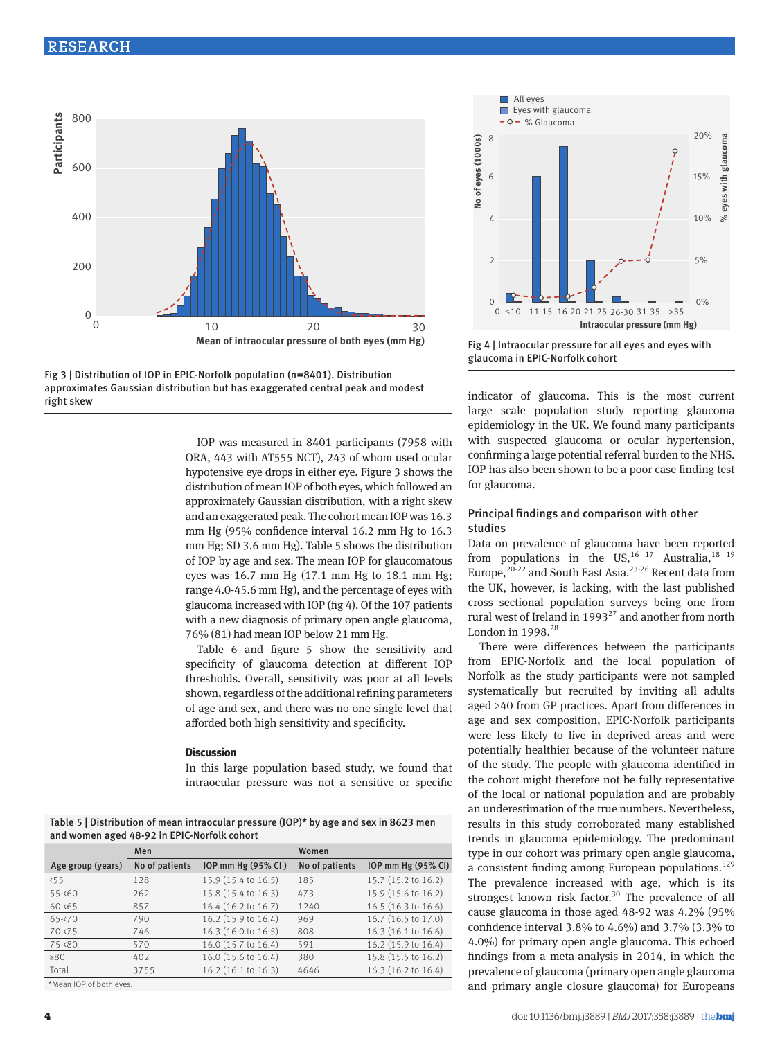



IOP was measured in 8401 participants (7958 with ORA, 443 with AT555 NCT), 243 of whom used ocular hypotensive eye drops in either eye. Figure 3 shows the distribution of mean IOP of both eyes, which followed an approximately Gaussian distribution, with a right skew and an exaggerated peak. The cohort mean IOP was 16.3 mm Hg (95% confidence interval 16.2 mm Hg to 16.3 mm Hg; SD 3.6 mm Hg). Table 5 shows the distribution of IOP by age and sex. The mean IOP for glaucomatous eyes was 16.7 mm Hg (17.1 mm Hg to 18.1 mm Hg; range 4.0-45.6 mm Hg), and the percentage of eyes with glaucoma increased with IOP (fig 4). Of the 107 patients with a new diagnosis of primary open angle glaucoma, 76% (81) had mean IOP below 21 mm Hg.

Table 6 and figure 5 show the sensitivity and specificity of glaucoma detection at different IOP thresholds. Overall, sensitivity was poor at all levels shown, regardless of the additional refining parameters of age and sex, and there was no one single level that afforded both high sensitivity and specificity.

### **Discussion**

In this large population based study, we found that intraocular pressure was not a sensitive or specific

| Table 5   Distribution of mean intraocular pressure (IOP)* by age and sex in 8623 men |  |
|---------------------------------------------------------------------------------------|--|
| and women aged 48-92 in EPIC-Norfolk cohort                                           |  |

|                   | Men            |                       | Women          |                     |  |  |  |
|-------------------|----------------|-----------------------|----------------|---------------------|--|--|--|
| Age group (years) | No of patients | IOP mm Hg (95% CI)    | No of patients | IOP mm Hg (95% CI)  |  |  |  |
| < 55              | 128            | 15.9 (15.4 to 16.5)   | 185            | 15.7 (15.2 to 16.2) |  |  |  |
| $55 - 60$         | 262            | 15.8 (15.4 to 16.3)   | 473            | 15.9 (15.6 to 16.2) |  |  |  |
| $60 - 65$         | 857            | 16.4 (16.2 to 16.7)   | 1240           | 16.5 (16.3 to 16.6) |  |  |  |
| $65 - 70$         | 790            | 16.2 (15.9 to 16.4)   | 969            | 16.7 (16.5 to 17.0) |  |  |  |
| $70 - 75$         | 746            | 16.3 (16.0 to 16.5)   | 808            | 16.3 (16.1 to 16.6) |  |  |  |
| $75 - 80$         | 570            | 16.0 (15.7 to 16.4)   | 591            | 16.2 (15.9 to 16.4) |  |  |  |
| $\geq 80$         | 402            | 16.0 (15.6 to 16.4)   | 380            | 15.8 (15.5 to 16.2) |  |  |  |
| Total             | 3755           | $16.2$ (16.1 to 16.3) | 4646           | 16.3 (16.2 to 16.4) |  |  |  |

\*Mean IOP of both eyes.



Fig 4 | Intraocular pressure for all eyes and eyes with glaucoma in EPIC-Norfolk cohort

indicator of glaucoma. This is the most current large scale population study reporting glaucoma epidemiology in the UK. We found many participants with suspected glaucoma or ocular hypertension, confirming a large potential referral burden to the NHS. IOP has also been shown to be a poor case finding test for glaucoma.

# Principal findings and comparison with other studies

Data on prevalence of glaucoma have been reported from populations in the US,<sup>16 17</sup> Australia,<sup>18 19</sup> Europe,<sup>20-22</sup> and South East Asia.<sup>23-26</sup> Recent data from the UK, however, is lacking, with the last published cross sectional population surveys being one from rural west of Ireland in 1993<sup>27</sup> and another from north London in  $1998.<sup>28</sup>$ 

There were differences between the participants from EPIC-Norfolk and the local population of Norfolk as the study participants were not sampled systematically but recruited by inviting all adults aged >40 from GP practices. Apart from differences in age and sex composition, EPIC-Norfolk participants were less likely to live in deprived areas and were potentially healthier because of the volunteer nature of the study. The people with glaucoma identified in the cohort might therefore not be fully representative of the local or national population and are probably an underestimation of the true numbers. Nevertheless, results in this study corroborated many established trends in glaucoma epidemiology. The predominant type in our cohort was primary open angle glaucoma, a consistent finding among European populations.<sup>529</sup> The prevalence increased with age, which is its strongest known risk factor.<sup>30</sup> The prevalence of all cause glaucoma in those aged 48-92 was 4.2% (95% confidence interval 3.8% to 4.6%) and 3.7% (3.3% to 4.0%) for primary open angle glaucoma. This echoed findings from a meta-analysis in 2014, in which the prevalence of glaucoma (primary open angle glaucoma and primary angle closure glaucoma) for Europeans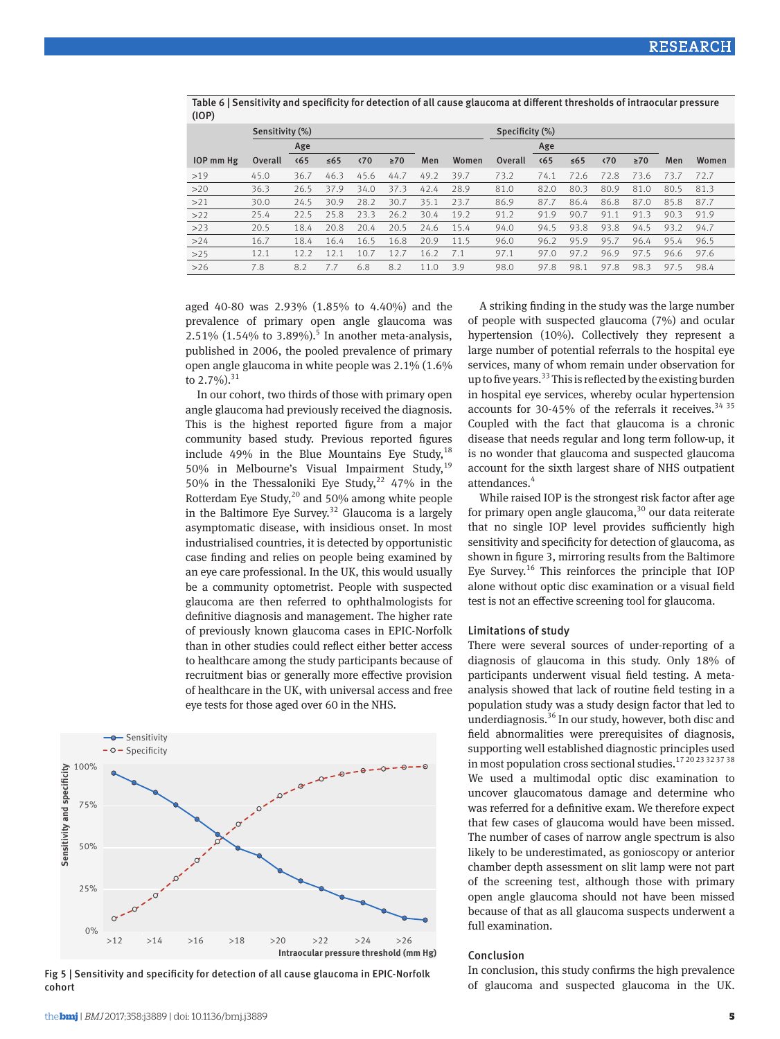|           | Sensitivity (%) |              |           |              |           |      | Specificity (%) |         |              |      |               |           |      |       |
|-----------|-----------------|--------------|-----------|--------------|-----------|------|-----------------|---------|--------------|------|---------------|-----------|------|-------|
|           |                 | Age          |           |              |           |      |                 |         | Age          |      |               |           |      |       |
| IOP mm Hg | Overall         | $\langle 65$ | $\leq 65$ | $\langle 70$ | $\geq 70$ | Men  | Women           | Overall | $\langle 65$ | ≤65  | <b>&lt;70</b> | $\geq 70$ | Men  | Women |
| >19       | 45.0            | 36.7         | 46.3      | 45.6         | 44.7      | 49.2 | 39.7            | 73.2    | 74.1         | 72.6 | 72.8          | 73.6      | 73.7 | 72.7  |
| >20       | 36.3            | 26.5         | 37.9      | 34.0         | 37.3      | 42.4 | 28.9            | 81.0    | 82.0         | 80.3 | 80.9          | 81.0      | 80.5 | 81.3  |
| $>21$     | 30.0            | 24.5         | 30.9      | 28.2         | 30.7      | 35.1 | 23.7            | 86.9    | 87.7         | 86.4 | 86.8          | 87.0      | 85.8 | 87.7  |
| $>22$     | 25.4            | 22.5         | 25.8      | 23.3         | 26.2      | 30.4 | 19.2            | 91.2    | 91.9         | 90.7 | 91.1          | 91.3      | 90.3 | 91.9  |
| $>23$     | 20.5            | 18.4         | 20.8      | 20.4         | 20.5      | 24.6 | 15.4            | 94.0    | 94.5         | 93.8 | 93.8          | 94.5      | 93.2 | 94.7  |
| >24       | 16.7            | 18.4         | 16.4      | 16.5         | 16.8      | 20.9 | 11.5            | 96.0    | 96.2         | 95.9 | 95.7          | 96.4      | 95.4 | 96.5  |
| $>25$     | 12.1            | 12.2         | 12.1      | 10.7         | 12.7      | 16.2 | 7.1             | 97.1    | 97.0         | 97.2 | 96.9          | 97.5      | 96.6 | 97.6  |
| $>26$     | 7.8             | 8.2          | 7.7       | 6.8          | 8.2       | 11.0 | 3.9             | 98.0    | 97.8         | 98.1 | 97.8          | 98.3      | 97.5 | 98.4  |

Table 6 | Sensitivity and specificity for detection of all cause glaucoma at different thresholds of intraocular pressure  $(10P)$ 

aged 40-80 was 2.93% (1.85% to 4.40%) and the prevalence of primary open angle glaucoma was 2.51% (1.54% to 3.89%).<sup>5</sup> In another meta-analysis, published in 2006, the pooled prevalence of primary open angle glaucoma in white people was 2.1% (1.6% to  $2.7\%$ ).<sup>31</sup>

In our cohort, two thirds of those with primary open angle glaucoma had previously received the diagnosis. This is the highest reported figure from a major community based study. Previous reported figures include 49% in the Blue Mountains Eye Study,  $18$ 50% in Melbourne's Visual Impairment Study,<sup>19</sup> 50% in the Thessaloniki Eye Study,<sup>22</sup> 47% in the Rotterdam Eye Study, $^{20}$  and 50% among white people in the Baltimore Eye Survey.<sup>32</sup> Glaucoma is a largely asymptomatic disease, with insidious onset. In most industrialised countries, it is detected by opportunistic case finding and relies on people being examined by an eye care professional. In the UK, this would usually be a community optometrist. People with suspected glaucoma are then referred to ophthalmologists for definitive diagnosis and management. The higher rate of previously known glaucoma cases in EPIC-Norfolk than in other studies could reflect either better access to healthcare among the study participants because of recruitment bias or generally more effective provision of healthcare in the UK, with universal access and free eye tests for those aged over 60 in the NHS.



Fig 5 | Sensitivity and specificity for detection of all cause glaucoma in EPIC-Norfolk cohort

A striking finding in the study was the large number of people with suspected glaucoma (7%) and ocular hypertension (10%). Collectively they represent a large number of potential referrals to the hospital eye services, many of whom remain under observation for up to five years.  $33$  This is reflected by the existing burden in hospital eye services, whereby ocular hypertension accounts for 30-45% of the referrals it receives.  $3435$ Coupled with the fact that glaucoma is a chronic disease that needs regular and long term follow-up, it is no wonder that glaucoma and suspected glaucoma account for the sixth largest share of NHS outpatient attendances.4

While raised IOP is the strongest risk factor after age for primary open angle glaucoma, $30$  our data reiterate that no single IOP level provides sufficiently high sensitivity and specificity for detection of glaucoma, as shown in figure 3, mirroring results from the Baltimore Eye Survey.<sup>16</sup> This reinforces the principle that IOP alone without optic disc examination or a visual field test is not an effective screening tool for glaucoma.

### Limitations of study

There were several sources of under-reporting of a diagnosis of glaucoma in this study. Only 18% of participants underwent visual field testing. A metaanalysis showed that lack of routine field testing in a population study was a study design factor that led to underdiagnosis.36 In our study, however, both disc and field abnormalities were prerequisites of diagnosis, supporting well established diagnostic principles used in most population cross sectional studies.<sup>17 20</sup> <sup>23 32 37</sup> <sup>38</sup> We used a multimodal optic disc examination to uncover glaucomatous damage and determine who was referred for a definitive exam. We therefore expect that few cases of glaucoma would have been missed. The number of cases of narrow angle spectrum is also likely to be underestimated, as gonioscopy or anterior chamber depth assessment on slit lamp were not part of the screening test, although those with primary open angle glaucoma should not have been missed because of that as all glaucoma suspects underwent a full examination.

## Conclusion

In conclusion, this study confirms the high prevalence of glaucoma and suspected glaucoma in the UK.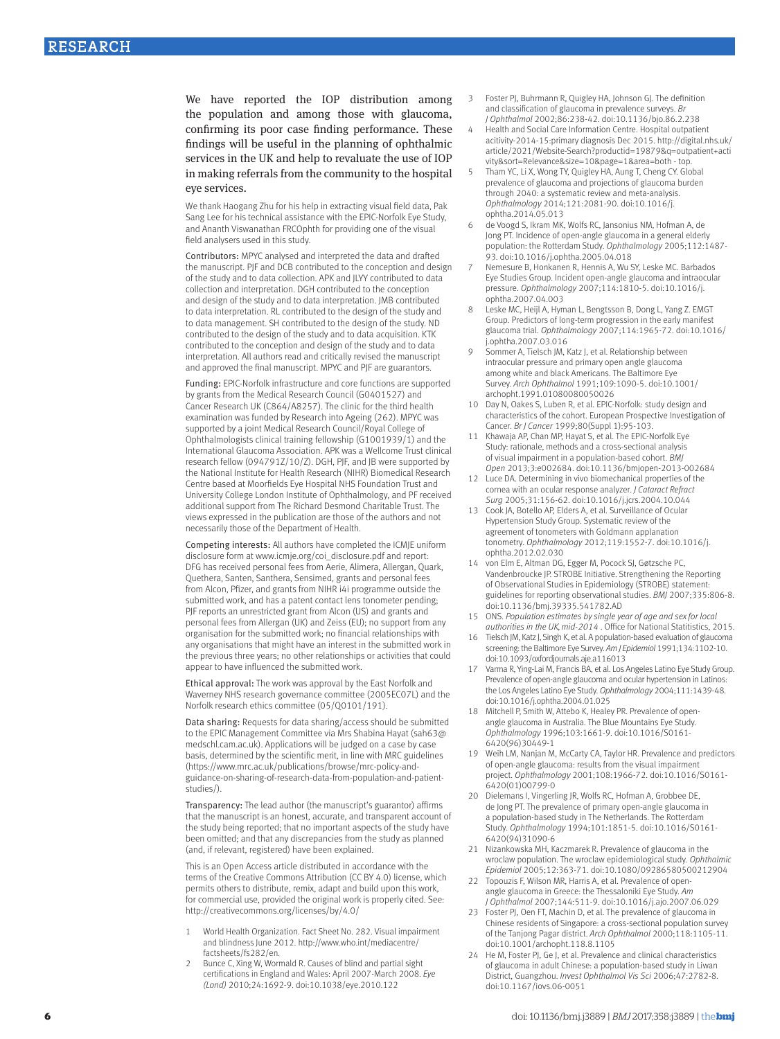We have reported the IOP distribution among the population and among those with glaucoma, confirming its poor case finding performance. These findings will be useful in the planning of ophthalmic services in the UK and help to revaluate the use of IOP in making referrals from the community to the hospital eye services.

We thank Haogang Zhu for his help in extracting visual field data, Pak Sang Lee for his technical assistance with the EPIC-Norfolk Eye Study, and Ananth Viswanathan FRCOphth for providing one of the visual field analysers used in this study.

Contributors: MPYC analysed and interpreted the data and drafted the manuscript. PIF and DCB contributed to the conception and design of the study and to data collection. APK and JLYY contributed to data collection and interpretation. DGH contributed to the conception and design of the study and to data interpretation. JMB contributed to data interpretation. RL contributed to the design of the study and to data management. SH contributed to the design of the study. ND contributed to the design of the study and to data acquisition. KTK contributed to the conception and design of the study and to data interpretation. All authors read and critically revised the manuscript and approved the final manuscript. MPYC and PJF are guarantors.

Funding: EPIC-Norfolk infrastructure and core functions are supported by grants from the Medical Research Council (G0401527) and Cancer Research UK (C864/A8257). The clinic for the third health examination was funded by Research into Ageing (262). MPYC was supported by a joint Medical Research Council/Royal College of Ophthalmologists clinical training fellowship (G1001939/1) and the International Glaucoma Association. APK was a Wellcome Trust clinical research fellow (094791Z/10/Z). DGH, PJF, and JB were supported by the National Institute for Health Research (NIHR) Biomedical Research Centre based at Moorfields Eye Hospital NHS Foundation Trust and University College London Institute of Ophthalmology, and PF received additional support from The Richard Desmond Charitable Trust. The views expressed in the publication are those of the authors and not necessarily those of the Department of Health.

Competing interests: All authors have completed the ICMJE uniform disclosure form at www.icmje.org/coi\_disclosure.pdf and report: DFG has received personal fees from Aerie, Alimera, Allergan, Quark, Quethera, Santen, Santhera, Sensimed, grants and personal fees from Alcon, Pfizer, and grants from NIHR i4i programme outside the submitted work, and has a patent contact lens tonometer pending; PJF reports an unrestricted grant from Alcon (US) and grants and personal fees from Allergan (UK) and Zeiss (EU); no support from any organisation for the submitted work; no financial relationships with any organisations that might have an interest in the submitted work in the previous three years; no other relationships or activities that could appear to have influenced the submitted work.

Ethical approval: The work was approval by the East Norfolk and Waverney NHS research governance committee (2005EC07L) and the Norfolk research ethics committee (05/Q0101/191).

Data sharing: Requests for data sharing/access should be submitted to the EPIC Management Committee via Mrs Shabina Hayat (sah63@ medschl.cam.ac.uk). Applications will be judged on a case by case basis, determined by the scientific merit, in line with MRC guidelines (https://www.mrc.ac.uk/publications/browse/mrc-policy-andguidance-on-sharing-of-research-data-from-population-and-patientstudies/).

Transparency: The lead author (the manuscript's guarantor) affirms that the manuscript is an honest, accurate, and transparent account of the study being reported; that no important aspects of the study have been omitted; and that any discrepancies from the study as planned (and, if relevant, registered) have been explained.

This is an Open Access article distributed in accordance with the terms of the Creative Commons Attribution (CC BY 4.0) license, which permits others to distribute, remix, adapt and build upon this work, for commercial use, provided the original work is properly cited. See: http://creativecommons.org/licenses/by/4.0/

- 1 World Health Organization. Fact Sheet No. 282. Visual impairment and blindness June 2012. http://www.who.int/mediacentre/ factsheets/fs282/en.
- 2 Bunce C, Xing W, Wormald R. Causes of blind and partial sight certifications in England and Wales: April 2007-March 2008. *Eye (Lond)* 2010;24:1692-9. doi:10.1038/eye.2010.122
- 3 Foster PJ, Buhrmann R, Quigley HA, Johnson GJ. The definition and classification of glaucoma in prevalence surveys. *Br J Ophthalmol* 2002;86:238-42. doi:10.1136/bjo.86.2.238
- 4 Health and Social Care Information Centre. Hospital outpatient acitivity-2014-15:primary diagnosis Dec 2015. http://digital.nhs.uk/ article/2021/Website-Search?productid=19879&q=outpatient+acti vity&sort=Relevance&size=10&page=1&area=both - top.
- Tham YC, Li X, Wong TY, Quigley HA, Aung T, Cheng CY. Global prevalence of glaucoma and projections of glaucoma burden through 2040: a systematic review and meta-analysis. *Ophthalmology* 2014;121:2081-90. doi:10.1016/j. ophtha.2014.05.013
- 6 de Voogd S, Ikram MK, Wolfs RC, Jansonius NM, Hofman A, de Jong PT. Incidence of open-angle glaucoma in a general elderly population: the Rotterdam Study. *Ophthalmology* 2005;112:1487- 93. doi:10.1016/j.ophtha.2005.04.018
- 7 Nemesure B, Honkanen R, Hennis A, Wu SY, Leske MC. Barbados Eye Studies Group. Incident open-angle glaucoma and intraocular pressure. *Ophthalmology* 2007;114:1810-5. doi:10.1016/j. ophtha.2007.04.003
- Leske MC, Heijl A, Hyman L, Bengtsson B, Dong L, Yang Z. EMGT Group. Predictors of long-term progression in the early manifest glaucoma trial. *Ophthalmology* 2007;114:1965-72. doi:10.1016/ j.ophtha.2007.03.016
- Sommer A, Tielsch JM, Katz J, et al. Relationship between intraocular pressure and primary open angle glaucoma among white and black Americans. The Baltimore Eye Survey. *Arch Ophthalmol* 1991;109:1090-5. doi:10.1001/ archopht.1991.01080080050026
- 10 Day N, Oakes S, Luben R, et al. EPIC-Norfolk: study design and characteristics of the cohort. European Prospective Investigation of Cancer. *Br J Cancer* 1999;80(Suppl 1):95-103.
- 11 Khawaja AP, Chan MP, Hayat S, et al. The EPIC-Norfolk Eye Study: rationale, methods and a cross-sectional analysis of visual impairment in a population-based cohort. *BMJ Open* 2013;3:e002684. doi:10.1136/bmjopen-2013-002684
- 12 Luce DA. Determining in vivo biomechanical properties of the cornea with an ocular response analyzer. *J Cataract Refract Surg* 2005;31:156-62. doi:10.1016/j.jcrs.2004.10.044
- 13 Cook JA, Botello AP, Elders A, et al. Surveillance of Ocular Hypertension Study Group. Systematic review of the agreement of tonometers with Goldmann applanation tonometry. *Ophthalmology* 2012;119:1552-7. doi:10.1016/j. ophtha.2012.02.030
- 14 von Elm E, Altman DG, Egger M, Pocock SJ, Gøtzsche PC, Vandenbroucke JP. STROBE Initiative. Strengthening the Reporting of Observational Studies in Epidemiology (STROBE) statement: guidelines for reporting observational studies. *BMJ* 2007;335:806-8. doi:10.1136/bmj.39335.541782.AD
- 15 ONS. *Population estimates by single year of age and sex for local authorities in the UK, mid-2014* . Office for National Statitistics, 2015.
- 16 Tielsch JM, Katz J, Singh K, et al. A population-based evaluation of glaucoma screening: the Baltimore Eye Survey. *Am J Epidemiol* 1991;134:1102-10. doi:10.1093/oxfordjournals.aje.a116013
- 17 Varma R, Ying-Lai M, Francis BA, et al. Los Angeles Latino Eye Study Group. Prevalence of open-angle glaucoma and ocular hypertension in Latinos: the Los Angeles Latino Eye Study. *Ophthalmology* 2004;111:1439-48. doi:10.1016/j.ophtha.2004.01.025
- 18 Mitchell P, Smith W, Attebo K, Healey PR. Prevalence of openangle glaucoma in Australia. The Blue Mountains Eye Study. *Ophthalmology* 1996;103:1661-9. doi:10.1016/S0161- 6420(96)30449-1
- 19 Weih LM, Nanjan M, McCarty CA, Taylor HR. Prevalence and predictors of open-angle glaucoma: results from the visual impairment project. *Ophthalmology* 2001;108:1966-72. doi:10.1016/S0161- 6420(01)00799-0
- 20 Dielemans I, Vingerling JR, Wolfs RC, Hofman A, Grobbee DE, de Jong PT. The prevalence of primary open-angle glaucoma in a population-based study in The Netherlands. The Rotterdam Study. *Ophthalmology* 1994;101:1851-5. doi:10.1016/S0161- 6420(94)31090-6
- 21 Nizankowska MH, Kaczmarek R. Prevalence of glaucoma in the wroclaw population. The wroclaw epidemiological study. *Ophthalmic Epidemiol* 2005;12:363-71. doi:10.1080/09286580500212904
- 22 Topouzis F, Wilson MR, Harris A, et al. Prevalence of openangle glaucoma in Greece: the Thessaloniki Eye Study. *Am J Ophthalmol* 2007;144:511-9. doi:10.1016/j.ajo.2007.06.029
- 23 Foster PJ, Oen FT, Machin D, et al. The prevalence of glaucoma in Chinese residents of Singapore: a cross-sectional population survey of the Tanjong Pagar district. *Arch Ophthalmol* 2000;118:1105-11. doi:10.1001/archopht.118.8.1105
- 24 He M, Foster PJ, Ge J, et al. Prevalence and clinical characteristics of glaucoma in adult Chinese: a population-based study in Liwan District, Guangzhou. *Invest Ophthalmol Vis Sci* 2006;47:2782-8. doi:10.1167/iovs.06-0051